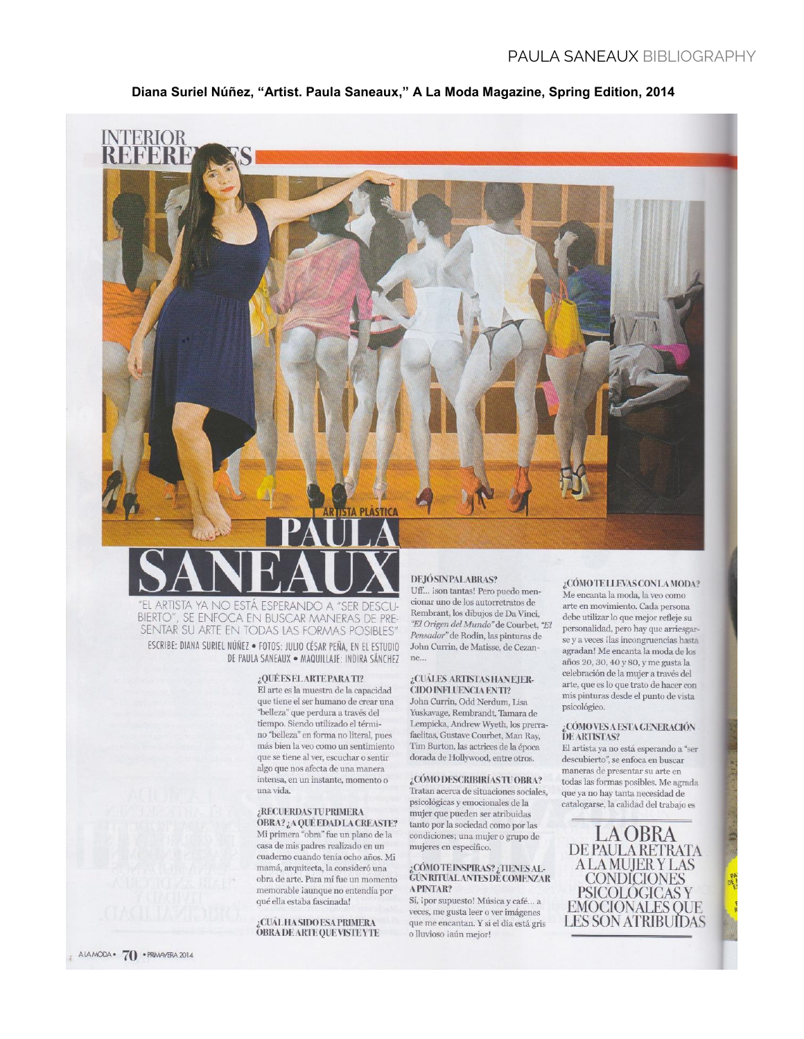Diana Suriel Núñez, "Artist. Paula Saneaux," A La Moda Magazine, Spring Edition, 2014



BIERTO", SE ENFOCA EN BUSCAR MANERAS DE PRE-SENTAR SU ARTE EN TODAS LAS FORMAS POSIBLES" ESCRIBE: DIANA SURIEL NÚÑEZ · FOTOS: JULIO CÉSAR PEÑA, EN EL ESTUDIO DE PAULA SANEAUX · MAQUILLAJE: INDIRA SÁNCHEZ

¿QUÉESEL ARTEPARA TI?

El arte es la muestra de la capacidad que tiene el ser humano de crear una "belleza" que perdura a través del tiempo. Siendo utilizado el término "belleza" en forma no literal, pues más bien la veo como un sentimiento que se tiene al ver, escuchar o sentir algo que nos afecta de una manera intensa, en un instante, momento o una vida.

#### ¿RECUERDASTUPRIMERA

OBRA? ¿A QUÉ EDAD LA CREASTE? Mi primera "obra" fue un plano de la casa de mis padres realizado en un cuaderno cuando tenía ocho años. Mi mamá, arquitecta, la consideró una obra de arte. Para mí fue un momento memorable iaunque no entendía por qué ella estaba fascinada!

#### ¿CUÁL HA SIDO ESA PRIMERA **ÖBRA DE ARTE QUE VISTEY TE**

#### DEJÓSINPALABRAS?

Uff... ison tantas! Pero puedo mencionar uno de los autorretratos de Rembrant, los dibujos de Da Vinci, "El Origen del Mundo" de Courbet, "El Pensador" de Rodin, las pinturas de John Currin, de Matisse, de Cezanne...

#### ¿CUÁLES ARTISTAS HANEJER-

**CIDO INFLUENCIA ENTI?** John Currin, Odd Nerdum, Lisa Yuskavage, Rembrandt, Tamara de Lempicka, Andrew Wyeth, los prerrafaelitas, Gustave Courbet, Man Ray, Tim Burton, las actrices de la época dorada de Hollywood, entre otros.

#### ¿CÓMO DESCRIBIRÍAS TU OBRA?

Tratan acerca de situaciones sociales, psicológicas y emocionales de la mujer que pueden ser atribuidas tanto por la sociedad como por las condiciones; una mujer o grupo de mujeres en específico.

## ¿CÓMO TE INSPIRAS? ¿TIENES AL-<br>GÚNRITUAL ANTES DE COMENZAR **APINTAR?**

Sí, ipor supuesto! Música y café... a veces, me gusta leer o ver imágenes que me encantan. Y si el día está gris o lluvioso iaún mejor!

#### ¿CÓMOTELLEVAS CONLA MODA?

Me encanta la moda, la veo como arte en movimiento. Cada persona debe utilizar lo que mejor refleje su personalidad, pero hay que arriesgarse y a veces ilas incongruencias hasta agradan! Me encanta la moda de los años 20, 30, 40 y 80, y me gusta la celebración de la mujer a través del arte, que es lo que trato de hacer con mis pinturas desde el punto de vista psicológico.

# ¿CÓMO VES A ESTA GENERACIÓN<br>DE ARTISTAS?

El artista ya no está esperando a "ser descubierto", se enfoca en buscar maneras de presentar su arte en todas las formas posibles. Me agrada que ya no hay tanta necesidad de catalogarse, la calidad del trabajo es

LA OBRA DE PAULA RETRATA **ALAMUJERYLAS CONDICIONES** PSICOLOGICAS Y **EMOCIONALES QUE** LES SON ATRIBUIDAS

TERIOF